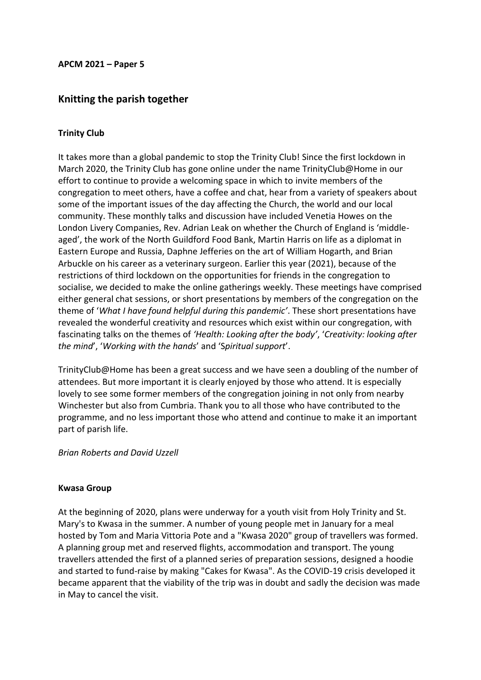#### **APCM 2021 – Paper 5**

## **Knitting the parish together**

#### **Trinity Club**

It takes more than a global pandemic to stop the Trinity Club! Since the first lockdown in March 2020, the Trinity Club has gone online under the name TrinityClub@Home in our effort to continue to provide a welcoming space in which to invite members of the congregation to meet others, have a coffee and chat, hear from a variety of speakers about some of the important issues of the day affecting the Church, the world and our local community. These monthly talks and discussion have included Venetia Howes on the London Livery Companies, Rev. Adrian Leak on whether the Church of England is 'middleaged', the work of the North Guildford Food Bank, Martin Harris on life as a diplomat in Eastern Europe and Russia, Daphne Jefferies on the art of William Hogarth, and Brian Arbuckle on his career as a veterinary surgeon. Earlier this year (2021), because of the restrictions of third lockdown on the opportunities for friends in the congregation to socialise, we decided to make the online gatherings weekly. These meetings have comprised either general chat sessions, or short presentations by members of the congregation on the theme of '*What I have found helpful during this pandemic'*. These short presentations have revealed the wonderful creativity and resources which exist within our congregation, with fascinating talks on the themes of *'Health: Looking after the body'*, '*Creativity: looking after the mind*', '*Working with the hands*' and 'S*piritual support*'.

TrinityClub@Home has been a great success and we have seen a doubling of the number of attendees. But more important it is clearly enjoyed by those who attend. It is especially lovely to see some former members of the congregation joining in not only from nearby Winchester but also from Cumbria. Thank you to all those who have contributed to the programme, and no less important those who attend and continue to make it an important part of parish life.

*Brian Roberts and David Uzzell*

#### **Kwasa Group**

At the beginning of 2020, plans were underway for a youth visit from Holy Trinity and St. Mary's to Kwasa in the summer. A number of young people met in January for a meal hosted by Tom and Maria Vittoria Pote and a "Kwasa 2020" group of travellers was formed. A planning group met and reserved flights, accommodation and transport. The young travellers attended the first of a planned series of preparation sessions, designed a hoodie and started to fund-raise by making "Cakes for Kwasa". As the COVID-19 crisis developed it became apparent that the viability of the trip was in doubt and sadly the decision was made in May to cancel the visit.